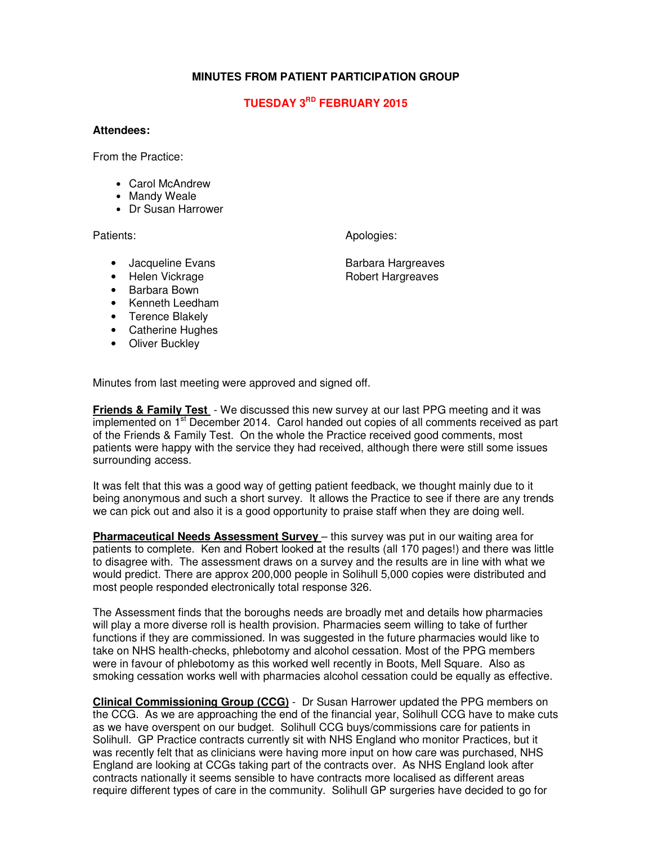### **MINUTES FROM PATIENT PARTICIPATION GROUP**

## **TUESDAY 3RD FEBRUARY 2015**

#### **Attendees:**

From the Practice:

- Carol McAndrew
- Mandy Weale
- Dr Susan Harrower

Patients: Apologies: Apologies: Apologies: Apologies: Apologies: Apologies: Apologies: Apologies: Apologies: Apologies: Apologies: Apologies: Apologies: Apologies: Apologies: Apologies: Apologies: Apologies: Apologies: Apo

- Jacqueline Evans **Barbara Hargreaves**
- 
- Barbara Bown
- Kenneth Leedham
- Terence Blakely
- Catherine Hughes
- Oliver Buckley

Minutes from last meeting were approved and signed off.

**Friends & Family Test** - We discussed this new survey at our last PPG meeting and it was implemented on 1<sup>st</sup> December 2014. Carol handed out copies of all comments received as part of the Friends & Family Test. On the whole the Practice received good comments, most patients were happy with the service they had received, although there were still some issues surrounding access.

It was felt that this was a good way of getting patient feedback, we thought mainly due to it being anonymous and such a short survey. It allows the Practice to see if there are any trends we can pick out and also it is a good opportunity to praise staff when they are doing well.

**Pharmaceutical Needs Assessment Survey** – this survey was put in our waiting area for patients to complete. Ken and Robert looked at the results (all 170 pages!) and there was little to disagree with. The assessment draws on a survey and the results are in line with what we would predict. There are approx 200,000 people in Solihull 5,000 copies were distributed and most people responded electronically total response 326.

The Assessment finds that the boroughs needs are broadly met and details how pharmacies will play a more diverse roll is health provision. Pharmacies seem willing to take of further functions if they are commissioned. In was suggested in the future pharmacies would like to take on NHS health-checks, phlebotomy and alcohol cessation. Most of the PPG members were in favour of phlebotomy as this worked well recently in Boots, Mell Square. Also as smoking cessation works well with pharmacies alcohol cessation could be equally as effective.

**Clinical Commissioning Group (CCG)** - Dr Susan Harrower updated the PPG members on the CCG. As we are approaching the end of the financial year, Solihull CCG have to make cuts as we have overspent on our budget. Solihull CCG buys/commissions care for patients in Solihull. GP Practice contracts currently sit with NHS England who monitor Practices, but it was recently felt that as clinicians were having more input on how care was purchased, NHS England are looking at CCGs taking part of the contracts over. As NHS England look after contracts nationally it seems sensible to have contracts more localised as different areas require different types of care in the community. Solihull GP surgeries have decided to go for

• Helen Vickrage **Robert Hargreaves**